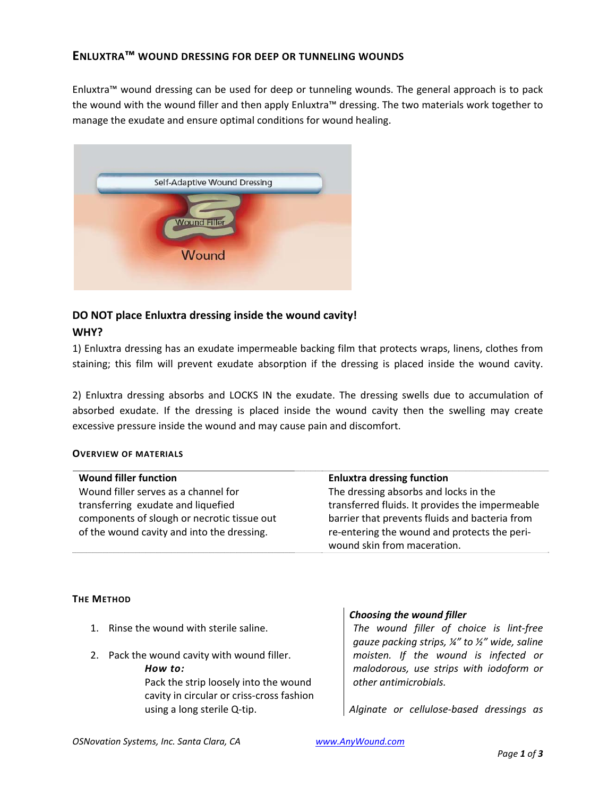#### **ENLUXTRA™ WOUND DRESSING FOR DEEP OR TUNNELING WOUNDS**

Enluxtra™ wound dressing can be used for deep or tunneling wounds. The general approach is to pack the wound with the wound filler and then apply Enluxtra™ dressing. The two materials work together to manage the exudate and ensure optimal conditions for wound healing.



# **DO NOT place Enluxtra dressing inside the wound cavity! WHY?**

1) Enluxtra dressing has an exudate impermeable backing film that protects wraps, linens, clothes from staining; this film will prevent exudate absorption if the dressing is placed inside the wound cavity.

2) Enluxtra dressing absorbs and LOCKS IN the exudate. The dressing swells due to accumulation of absorbed exudate. If the dressing is placed inside the wound cavity then the swelling may create excessive pressure inside the wound and may cause pain and discomfort.

#### **OVERVIEW OF MATERIALS**

| <b>Wound filler function</b>                | <b>Enluxtra dressing function</b>               |
|---------------------------------------------|-------------------------------------------------|
| Wound filler serves as a channel for        | The dressing absorbs and locks in the           |
| transferring exudate and liquefied          | transferred fluids. It provides the impermeable |
| components of slough or necrotic tissue out | barrier that prevents fluids and bacteria from  |
| of the wound cavity and into the dressing.  | re-entering the wound and protects the peri-    |
|                                             | wound skin from maceration.                     |

#### **THE METHOD**

- 1. Rinse the wound with sterile saline.
- 2. Pack the wound cavity with wound filler.

*How to:* Pack the strip loosely into the wound cavity in circular or criss‐cross fashion using a long sterile Q‐tip.

#### *Choosing the wound filler*

*The wound filler of choice is lint‐free gauze packing strips, ¼" to ½" wide, saline moisten. If the wound is infected or malodorous, use strips with iodoform or other antimicrobials.*

*Alginate or cellulose‐based dressings as*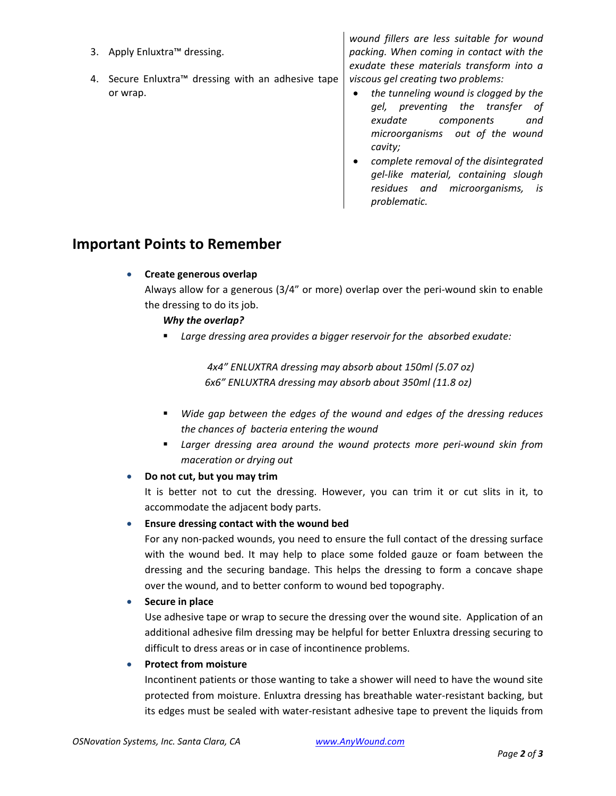- 3. Apply Enluxtra™ dressing.
- 4. Secure Enluxtra™ dressing with an adhesive tape or wrap.

*wound fillers are less suitable for wound packing. When coming in contact with the exudate these materials transform into a viscous gel creating two problems:* 

- *the tunneling wound is clogged by the gel, preventing the transfer of exudate components and microorganisms out of the wound cavity;*
- *complete removal of the disintegrated gel‐like material, containing slough residues and microorganisms, is problematic.*

# **Important Points to Remember**

**Create generous overlap**

Always allow for a generous (3/4" or more) overlap over the peri‐wound skin to enable the dressing to do its job.

## *Why the overlap?*

*Large dressing area provides a bigger reservoir for the absorbed exudate:*

 *4x4" ENLUXTRA dressing may absorb about 150ml (5.07 oz) 6x6" ENLUXTRA dressing may absorb about 350ml (11.8 oz)*

- *Wide gap between the edges of the wound and edges of the dressing reduces the chances of bacteria entering the wound*
- *Larger dressing area around the wound protects more peri‐wound skin from maceration or drying out*

## **Do not cut, but you may trim**

It is better not to cut the dressing. However, you can trim it or cut slits in it, to accommodate the adjacent body parts.

## **Ensure dressing contact with the wound bed**

For any non‐packed wounds, you need to ensure the full contact of the dressing surface with the wound bed. It may help to place some folded gauze or foam between the dressing and the securing bandage. This helps the dressing to form a concave shape over the wound, and to better conform to wound bed topography.

## **Secure in place**

Use adhesive tape or wrap to secure the dressing over the wound site. Application of an additional adhesive film dressing may be helpful for better Enluxtra dressing securing to difficult to dress areas or in case of incontinence problems.

## **Protect from moisture**

Incontinent patients or those wanting to take a shower will need to have the wound site protected from moisture. Enluxtra dressing has breathable water-resistant backing, but its edges must be sealed with water‐resistant adhesive tape to prevent the liquids from